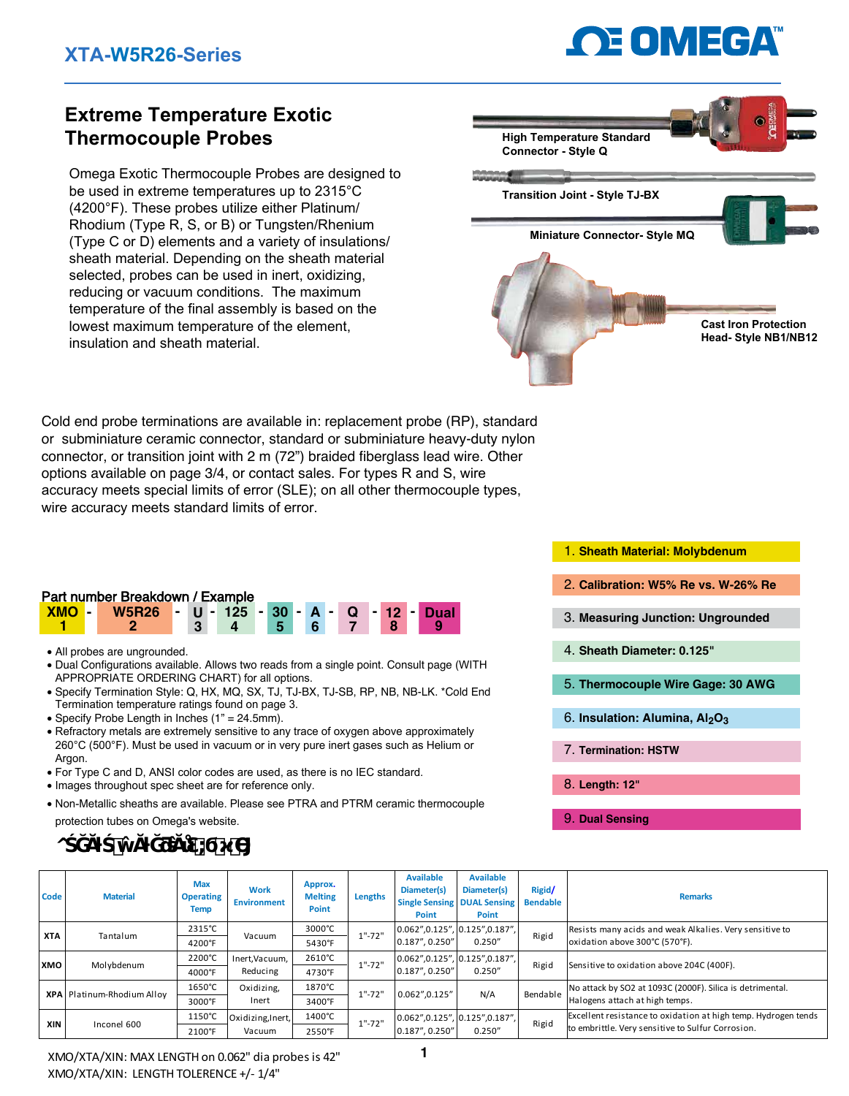# **OE OMEGA**

# **Extreme Temperature Exotic Thermocouple Probes**

Omega Exotic Thermocouple Probes are designed to be used in extreme temperatures up to 2315°C (4200°F). These probes utilize either Platinum/ Rhodium (Type R, S, or B) or Tungsten/Rhenium (Type C or D) elements and a variety of insulations/ sheath material. Depending on the sheath material selected, probes can be used in inert, oxidizing, reducing or vacuum conditions. The maximum temperature of the final assembly is based on the lowest maximum temperature of the element, insulation and sheath material.



Cold end probe terminations are available in: replacement probe (RP), standard or subminiature ceramic connector, standard or subminiature heavy-duty nylon connector, or transition joint with 2 m (72") braided fiberglass lead wire. Other options available on page 3/4, or contact sales. For types R and S, wire accuracy meets special limits of error (SLE); on all other thermocouple types, wire accuracy meets standard limits of error.

### Part number Breakdown / Example

| <b>XMO</b> | W5R26 - U - 125 - 30 - A - Q - 12 - Dual |  |     |   |  |  |  |  |
|------------|------------------------------------------|--|-----|---|--|--|--|--|
|            |                                          |  | - 5 | 6 |  |  |  |  |

- All probes are ungrounded.
- Dual Configurations available. Allows two reads from a single point. Consult page (WITH APPROPRIATE ORDERING CHART) for all options.
- Specify Termination Style: Q, HX, MQ, SX, TJ, TJ-BX, TJ-SB, RP, NB, NB-LK. \*Cold End Termination temperature ratings found on page 3.
- Specify Probe Length in Inches (1" = 24.5mm).
- Refractory metals are extremely sensitive to any trace of oxygen above approximately 260°C (500°F). Must be used in vacuum or in very pure inert gases such as Helium or Argon.
- For Type C and D, ANSI color codes are used, as there is no IEC standard.
- Images throughout spec sheet are for reference only.
- Non-Metallic sheaths are available. Please see PTRA and PTRM ceramic thermocouple protection tubes on Omega's website.

- 1. **Sheath Material: Molybdenum**
- 2. **Calibration: W5% Re vs. W-26% Re**
- 3. **Measuring Junction: Ungrounded**
- 4. **Sheath Diameter: 0.125"**
- 5. **Thermocouple Wire Gage: 30 AWG**

Resists many acids and weak Alkalies. Very sensitive to

- 6. **Insulation: Alumina, Al2O3**
- 7. **Termination: HSTW**
- 8. **Length: 12"**
- 9. **Dual Sensing**

**Bendable Remarks** 

oxidation above 300°C (570°F).

| Code       | <b>Material</b> | <b>Max</b><br><b>Operating</b><br><b>Temp</b> | <b>Work</b><br><b>Environment</b> |  |  |
|------------|-----------------|-----------------------------------------------|-----------------------------------|--|--|
|            |                 | 2315°C                                        |                                   |  |  |
| <b>XTA</b> | Tantalum        |                                               | Vacuum                            |  |  |

**o**  $\ddot{\bullet}$ 

**1** 2200°C | Inert, Vacuum, | 2610°C 4000°F 4730°F 1650°C | Oxidizing, 1870°C 3000°F 3400°F 1150°C Oxidizing, Inert, 1400°C 2100°F 2550°F Rigid Sensitive to oxidation above 204C (400F). No attack by SO2 at 1093C (2000F). Silica is detrimental. Halogens attach at high temps. Excellent resistance to oxidation at high temp. Hydrogen tends to embrittle. Very sensitive to Sulfur Corrosion. Rigid Bendable 0.062",0.125", 0.187", 0.250" 0.125",0.187", 0.250" 0.062",0.125", 0.187", 0.250" 0.125",0.187", 0.250"  $0.062",0.125"$  N/A Reducing Inert Vacuum 1"-72" 1"-72" 1"-72" **XMO XPA XIN** Inconel 600 Platinum-Rhodium Alloy Molybdenum

**Lengths**

1"-72"

**Approx. Melting Point**

2315°C 3000°C 5430°F

**Available Diameter(s) Single Sensing Point**

0.062",0.125", 0.187", 0.250"

**Available Diameter(s) DUAL Sensing Point**

0.125",0.187", 0.250"

**Rigid/**

Rigid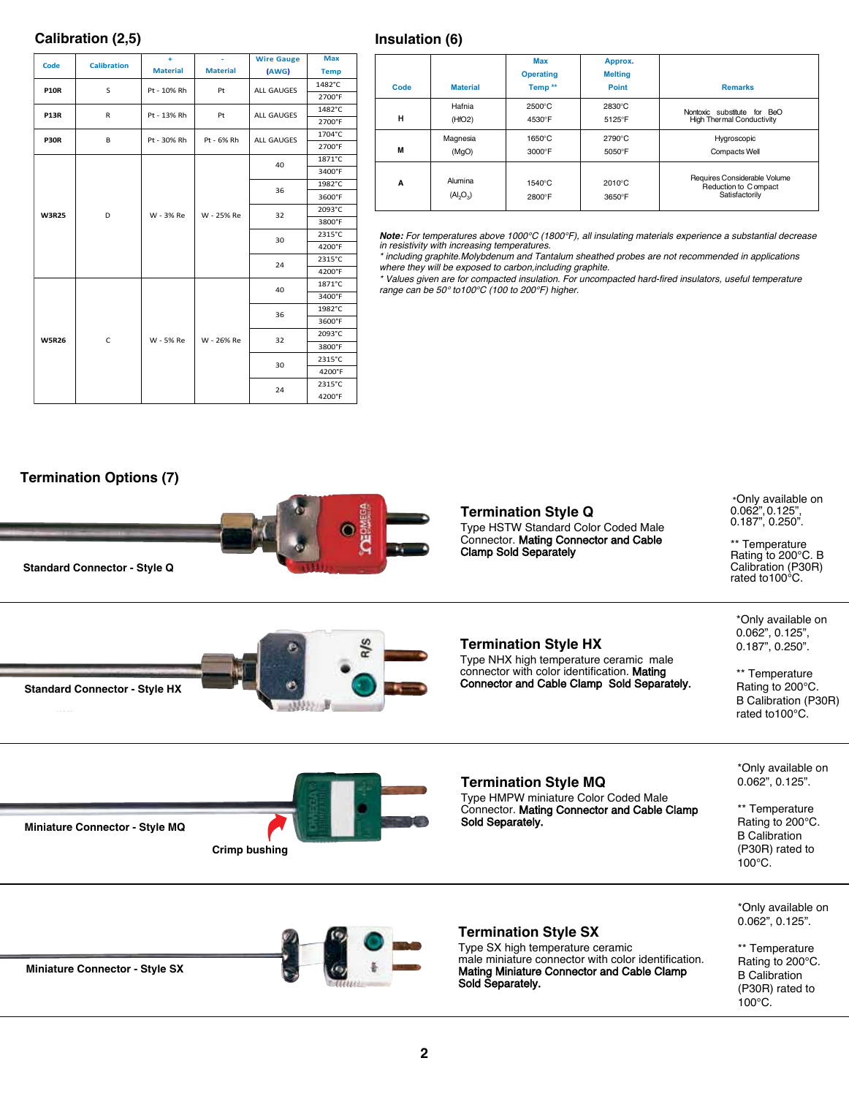### **Calibration (2,5)**

| Code         | <b>Calibration</b> | ÷               | $\omega$        | <b>Wire Gauge</b> | <b>Max</b>  |
|--------------|--------------------|-----------------|-----------------|-------------------|-------------|
|              |                    | <b>Material</b> | <b>Material</b> | (AWG)             | <b>Temp</b> |
| <b>P10R</b>  | S                  | Pt - 10% Rh     | Pt              | ALL GAUGES        | 1482°C      |
|              |                    |                 |                 |                   | 2700°F      |
| <b>P13R</b>  | R                  | Pt - 13% Rh     | Pt              | ALL GAUGES        | 1482°C      |
|              |                    |                 |                 |                   | 2700°F      |
| <b>P30R</b>  | B                  | Pt - 30% Rh     | Pt - 6% Rh      | ALL GAUGES        | 1704°C      |
|              |                    |                 |                 | 2700°F            |             |
|              |                    |                 |                 |                   | 1871°C      |
|              |                    |                 |                 | 40                | 3400°F      |
|              |                    | W - 3% Re       |                 | 36                | 1982°C      |
|              | D                  |                 |                 |                   | 3600°F      |
| <b>W3R25</b> |                    |                 | W - 25% Re      | 32                | 2093°C      |
|              |                    |                 |                 |                   | 3800°F      |
|              |                    |                 |                 | 30                | 2315°C      |
|              |                    |                 |                 |                   | 4200°F      |
|              |                    |                 |                 | 24                | 2315°C      |
|              |                    |                 |                 |                   | 4200°F      |
|              |                    |                 |                 | 40                | 1871°C      |
|              |                    |                 |                 |                   | 3400°F      |
|              |                    |                 |                 | 36                | 1982°C      |
|              |                    |                 |                 |                   | 3600°F      |
| <b>W5R26</b> | C                  | W - 5% Re       | W - 26% Re      | 32                | 2093°C      |
|              |                    |                 |                 |                   | 3800°F      |
|              |                    |                 |                 | 30                | 2315°C      |
|              |                    |                 |                 |                   | 4200°F      |
|              |                    |                 |                 | 24                | 2315°C      |
|              |                    |                 |                 |                   | 4200°F      |

| Code | <b>Material</b>        | Max<br><b>Operating</b><br>Temp <sup>**</sup> | Approx.<br><b>Melting</b><br><b>Point</b> | <b>Remarks</b>                                                          |
|------|------------------------|-----------------------------------------------|-------------------------------------------|-------------------------------------------------------------------------|
| н    | Hafnia                 | 2500°C                                        | 2830°C                                    | Nontoxic substitute for BeO                                             |
|      | (HfO2)                 | 4530°F                                        | 5125°F                                    | <b>High Thermal Conductivity</b>                                        |
| M    | Magnesia               | $1650^\circ C$                                | $2790^{\circ}$ C                          | Hygroscopic                                                             |
|      | (MgO)                  | 3000°F                                        | 5050°F                                    | <b>Compacts Well</b>                                                    |
| A    | Alumina<br>$(Al_2O_3)$ | $1540^{\circ}$ C<br>2800°F                    | 2010°C<br>3650°F                          | Requires Considerable Volume<br>Reduction to C ompact<br>Satisfactorily |

*Note: For temperatures above 1000°C (1800°F), all insulating materials experience a substantial decrease in resistivity with increasing temperatures.*

*\* including graphite.Molybdenum and Tantalum sheathed probes are not recommended in applications* 

*where they will be exposed to carbon,inclu*ding *graphite. \* Values given are for compacted insulation. For uncompacted hard-fired insulators, useful temperature range can be 5*0° *to10*0*°C (100 to 200°F) higher.*



**Insulation (6)**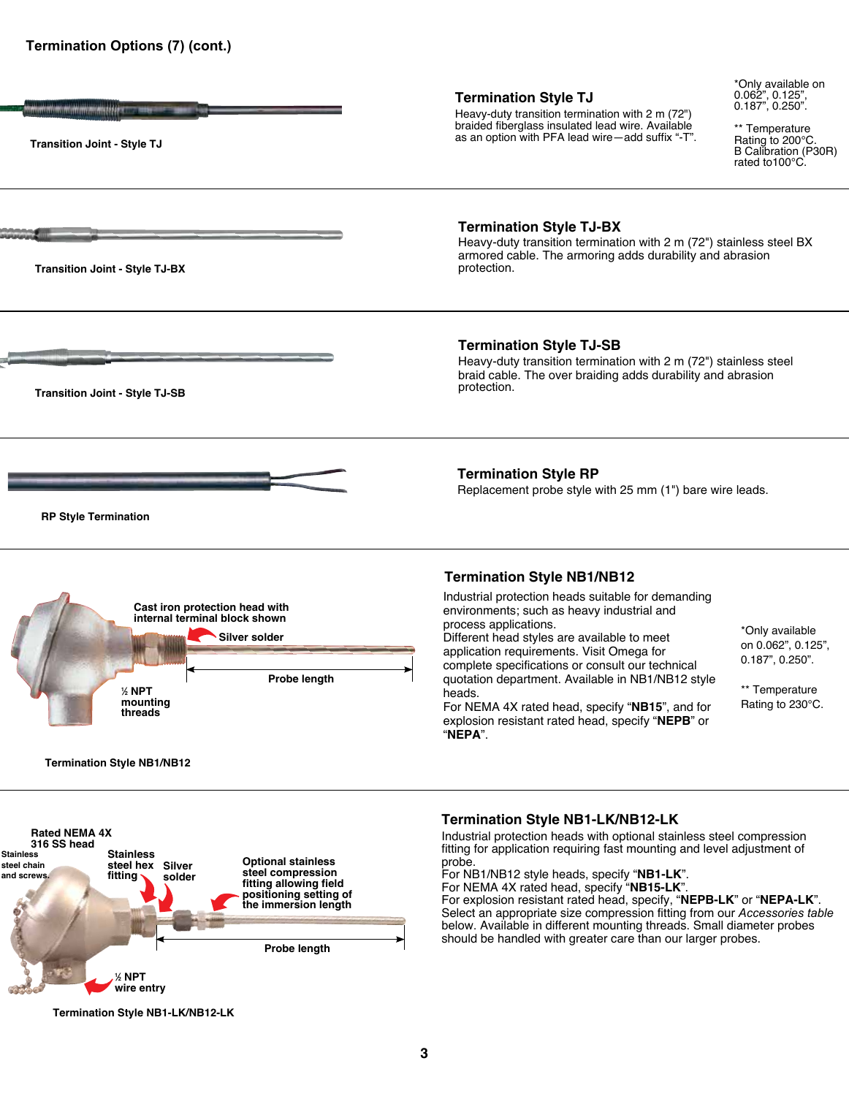